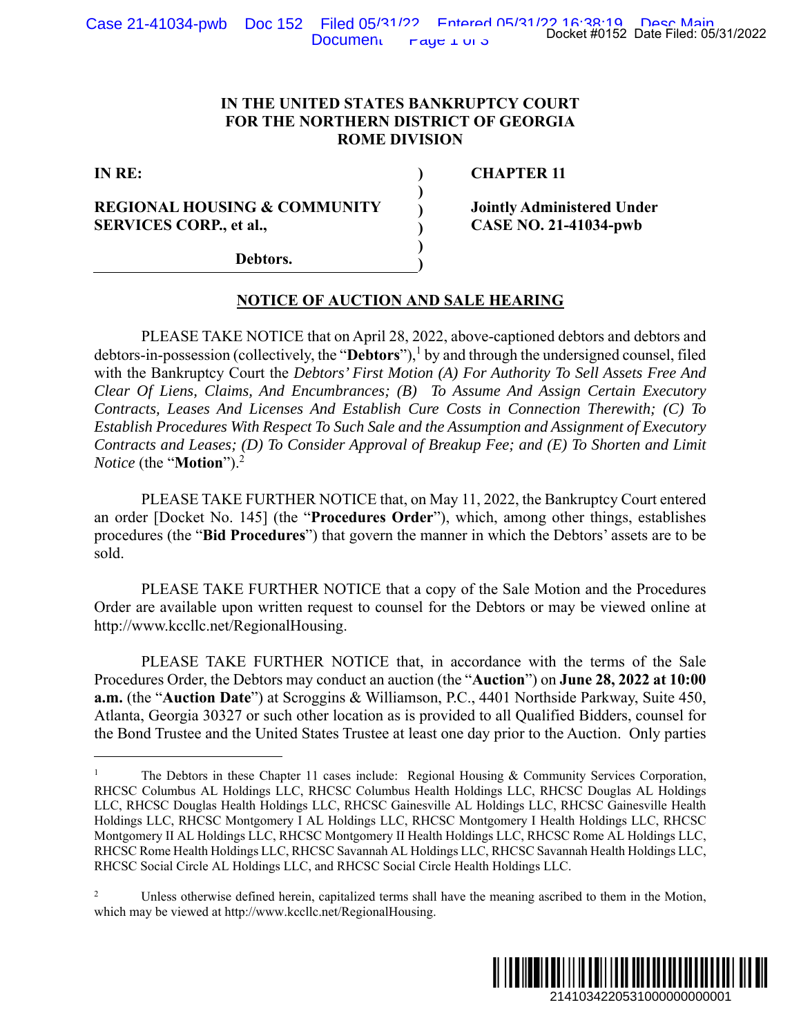## **IN THE UNITED STATES BANKRUPTCY COURT FOR THE NORTHERN DISTRICT OF GEORGIA ROME DIVISION**

 **) ) ) ) ) )** 

**IN RE:** 

**REGIONAL HOUSING & COMMUNITY SERVICES CORP., et al.,** 

 **CHAPTER 11** 

**Jointly Administered Under CASE NO. 21-41034-pwb** 

**Debtors.** 

## **NOTICE OF AUCTION AND SALE HEARING**

 PLEASE TAKE NOTICE that on April 28, 2022, above-captioned debtors and debtors and debtors-in-possession (collectively, the "**Debtors**"),1 by and through the undersigned counsel, filed with the Bankruptcy Court the *Debtors' First Motion (A) For Authority To Sell Assets Free And Clear Of Liens, Claims, And Encumbrances; (B) To Assume And Assign Certain Executory Contracts, Leases And Licenses And Establish Cure Costs in Connection Therewith; (C) To Establish Procedures With Respect To Such Sale and the Assumption and Assignment of Executory Contracts and Leases; (D) To Consider Approval of Breakup Fee; and (E) To Shorten and Limit Notice* (the "**Motion**").2 Docket #0152 Date Filed: 05/31/2022<br>
URT<br>
CIA<br>
CIA<br>
CIA<br>
CIA<br>
CIA<br>
21-41034-pwb<br>
21-41034-pwb<br>
21-41034-pwb<br>
21-41034-pwb<br>
21 debtors and debtors and<br>
To Sell Assets Free And<br>
Sign Certain Executory<br>
(E) To Shorten and Lim

PLEASE TAKE FURTHER NOTICE that, on May 11, 2022, the Bankruptcy Court entered an order [Docket No. 145] (the "**Procedures Order**"), which, among other things, establishes procedures (the "**Bid Procedures**") that govern the manner in which the Debtors' assets are to be sold.

PLEASE TAKE FURTHER NOTICE that a copy of the Sale Motion and the Procedures Order are available upon written request to counsel for the Debtors or may be viewed online at http://www.kccllc.net/RegionalHousing.

PLEASE TAKE FURTHER NOTICE that, in accordance with the terms of the Sale Procedures Order, the Debtors may conduct an auction (the "**Auction**") on **June 28, 2022 at 10:00 a.m.** (the "**Auction Date**") at Scroggins & Williamson, P.C., 4401 Northside Parkway, Suite 450, Atlanta, Georgia 30327 or such other location as is provided to all Qualified Bidders, counsel for the Bond Trustee and the United States Trustee at least one day prior to the Auction. Only parties

<sup>2</sup> Unless otherwise defined herein, capitalized terms shall have the meaning ascribed to them in the Motion, which may be viewed at http://www.kccllc.net/RegionalHousing.



<sup>1</sup> The Debtors in these Chapter 11 cases include: Regional Housing & Community Services Corporation, RHCSC Columbus AL Holdings LLC, RHCSC Columbus Health Holdings LLC, RHCSC Douglas AL Holdings LLC, RHCSC Douglas Health Holdings LLC, RHCSC Gainesville AL Holdings LLC, RHCSC Gainesville Health Holdings LLC, RHCSC Montgomery I AL Holdings LLC, RHCSC Montgomery I Health Holdings LLC, RHCSC Montgomery II AL Holdings LLC, RHCSC Montgomery II Health Holdings LLC, RHCSC Rome AL Holdings LLC, RHCSC Rome Health Holdings LLC, RHCSC Savannah AL Holdings LLC, RHCSC Savannah Health Holdings LLC, RHCSC Social Circle AL Holdings LLC, and RHCSC Social Circle Health Holdings LLC.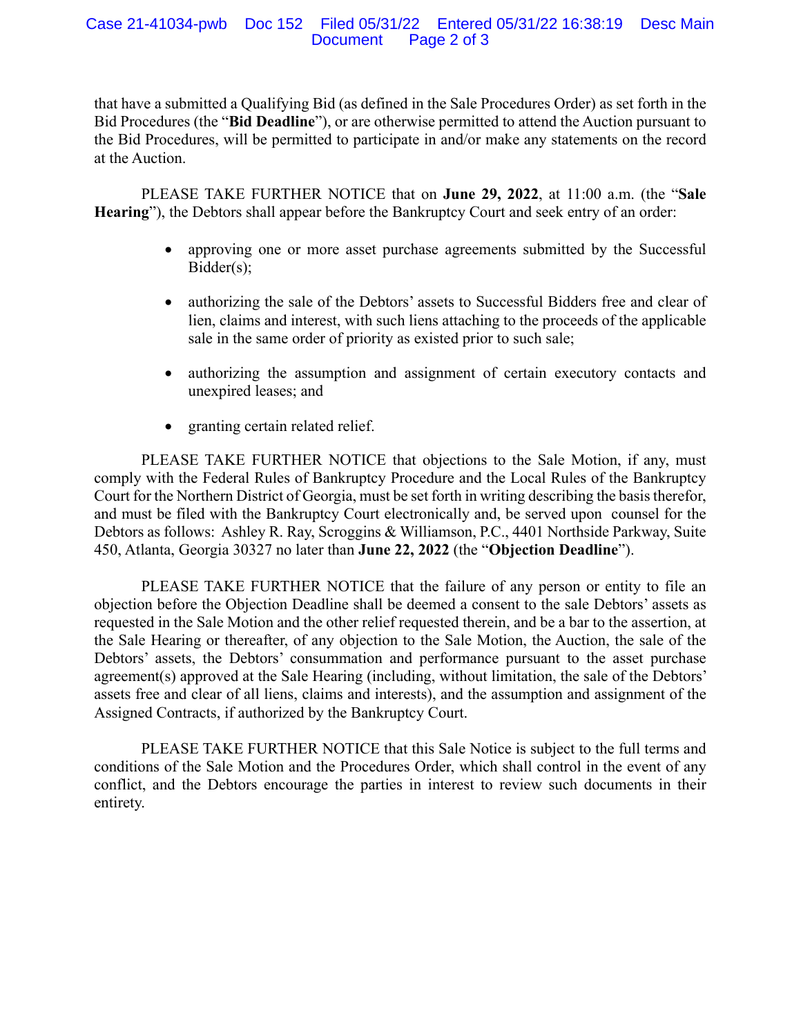#### Case 21-41034-pwb Doc 152 Filed 05/31/22 Entered 05/31/22 16:38:19 Desc Main Page 2 of 3

that have a submitted a Qualifying Bid (as defined in the Sale Procedures Order) as set forth in the Bid Procedures (the "**Bid Deadline**"), or are otherwise permitted to attend the Auction pursuant to the Bid Procedures, will be permitted to participate in and/or make any statements on the record at the Auction.

PLEASE TAKE FURTHER NOTICE that on **June 29, 2022**, at 11:00 a.m. (the "**Sale Hearing**"), the Debtors shall appear before the Bankruptcy Court and seek entry of an order:

- approving one or more asset purchase agreements submitted by the Successful Bidder(s);
- authorizing the sale of the Debtors' assets to Successful Bidders free and clear of lien, claims and interest, with such liens attaching to the proceeds of the applicable sale in the same order of priority as existed prior to such sale;
- authorizing the assumption and assignment of certain executory contacts and unexpired leases; and
- granting certain related relief.

PLEASE TAKE FURTHER NOTICE that objections to the Sale Motion, if any, must comply with the Federal Rules of Bankruptcy Procedure and the Local Rules of the Bankruptcy Court for the Northern District of Georgia, must be set forth in writing describing the basis therefor, and must be filed with the Bankruptcy Court electronically and, be served upon counsel for the Debtors as follows: Ashley R. Ray, Scroggins & Williamson, P.C., 4401 Northside Parkway, Suite 450, Atlanta, Georgia 30327 no later than **June 22, 2022** (the "**Objection Deadline**").

PLEASE TAKE FURTHER NOTICE that the failure of any person or entity to file an objection before the Objection Deadline shall be deemed a consent to the sale Debtors' assets as requested in the Sale Motion and the other relief requested therein, and be a bar to the assertion, at the Sale Hearing or thereafter, of any objection to the Sale Motion, the Auction, the sale of the Debtors' assets, the Debtors' consummation and performance pursuant to the asset purchase agreement(s) approved at the Sale Hearing (including, without limitation, the sale of the Debtors' assets free and clear of all liens, claims and interests), and the assumption and assignment of the Assigned Contracts, if authorized by the Bankruptcy Court.

PLEASE TAKE FURTHER NOTICE that this Sale Notice is subject to the full terms and conditions of the Sale Motion and the Procedures Order, which shall control in the event of any conflict, and the Debtors encourage the parties in interest to review such documents in their entirety.